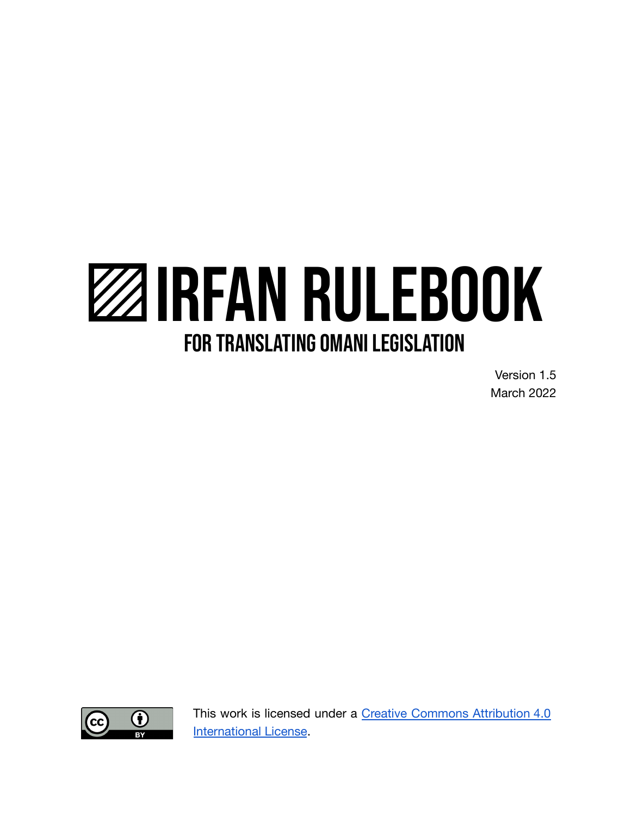# IRFAN RULEBOOK **FOR TRANSLATING OMANI LEGISLATION**

Version 1.5 March 2022



This work is licensed under a Creative Commons [Attribution](http://creativecommons.org/licenses/by/4.0/) 4.0 [International License](http://creativecommons.org/licenses/by/4.0/).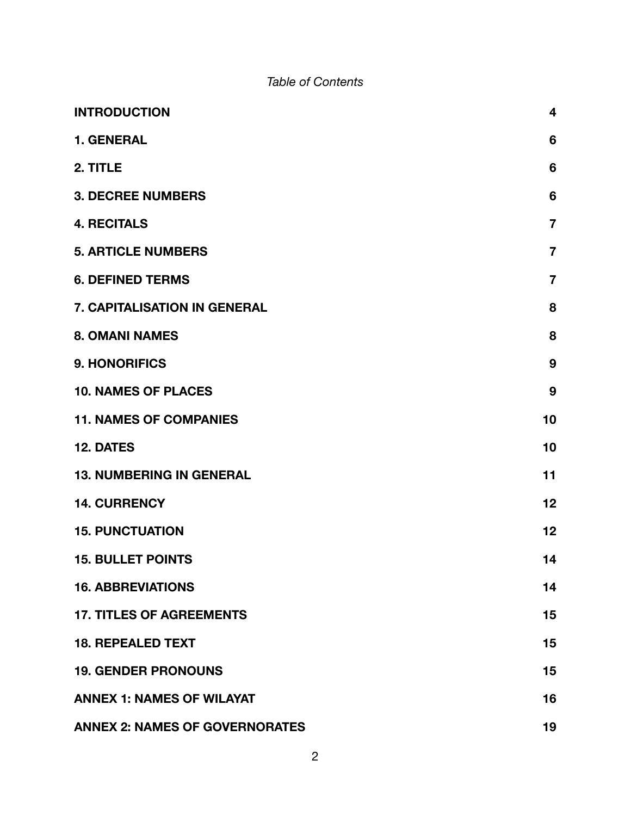#### *Table of Contents*

| <b>INTRODUCTION</b>                   | $\overline{\mathbf{4}}$ |
|---------------------------------------|-------------------------|
| <b>1. GENERAL</b>                     | $6\phantom{1}6$         |
| 2. TITLE                              | 6                       |
| <b>3. DECREE NUMBERS</b>              | $6\phantom{1}6$         |
| <b>4. RECITALS</b>                    | $\overline{7}$          |
| <b>5. ARTICLE NUMBERS</b>             | $\overline{7}$          |
| <b>6. DEFINED TERMS</b>               | $\overline{7}$          |
| 7. CAPITALISATION IN GENERAL          | 8                       |
| <b>8. OMANI NAMES</b>                 | 8                       |
| <b>9. HONORIFICS</b>                  | 9                       |
| <b>10. NAMES OF PLACES</b>            | 9                       |
| <b>11. NAMES OF COMPANIES</b>         | 10                      |
| <b>12. DATES</b>                      | 10                      |
| <b>13. NUMBERING IN GENERAL</b>       | 11                      |
| <b>14. CURRENCY</b>                   | 12                      |
| <b>15. PUNCTUATION</b>                | 12                      |
| <b>15. BULLET POINTS</b>              | 14                      |
| <b>16. ABBREVIATIONS</b>              | 14                      |
| <b>17. TITLES OF AGREEMENTS</b>       | 15                      |
| <b>18. REPEALED TEXT</b>              | 15                      |
| <b>19. GENDER PRONOUNS</b>            | 15                      |
| <b>ANNEX 1: NAMES OF WILAYAT</b>      | 16                      |
| <b>ANNEX 2: NAMES OF GOVERNORATES</b> | 19                      |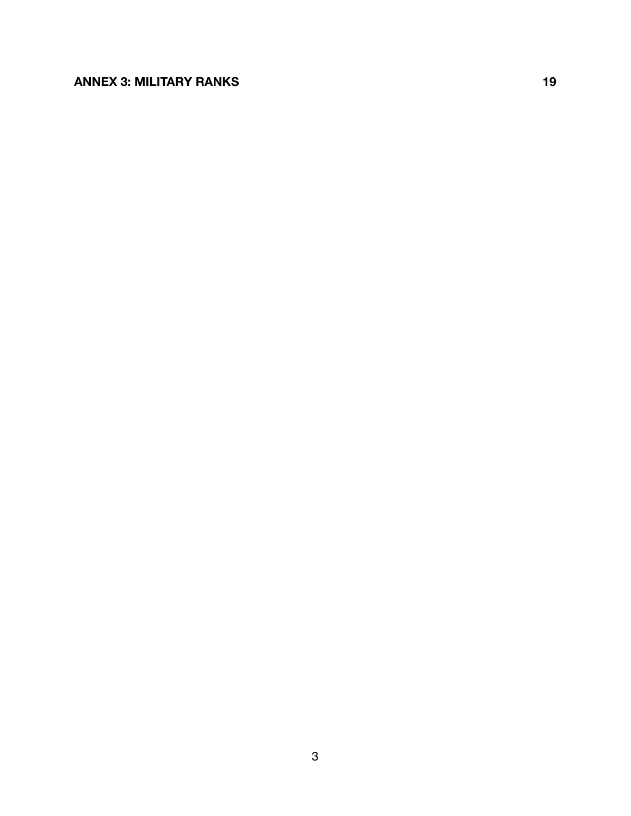#### **[ANNEX 3: MILITARY RANKS](#page-18-1) [19](#page-18-1)**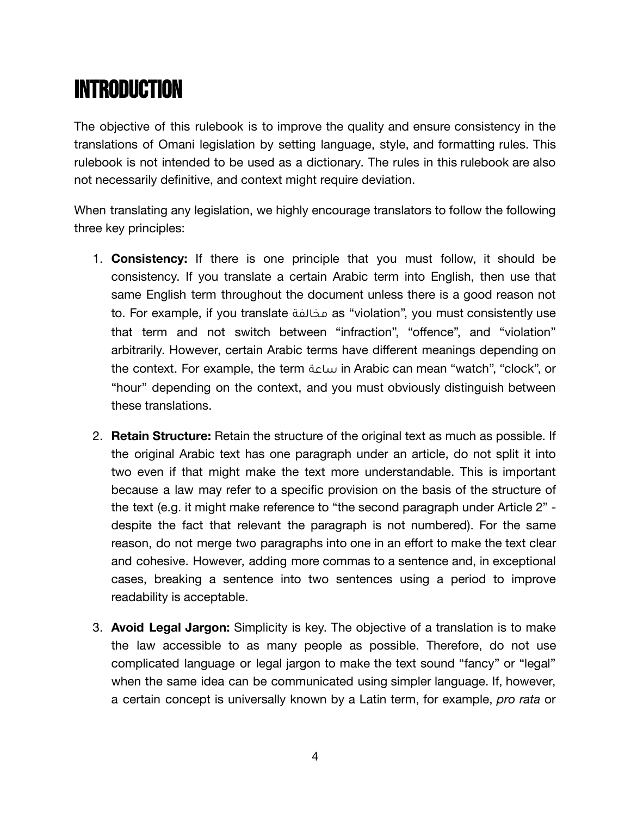# <span id="page-3-0"></span>INTRODUCTION

The objective of this rulebook is to improve the quality and ensure consistency in the translations of Omani legislation by setting language, style, and formatting rules. This rulebook is not intended to be used as a dictionary. The rules in this rulebook are also not necessarily definitive, and context might require deviation.

When translating any legislation, we highly encourage translators to follow the following three key principles:

- 1. **Consistency:** If there is one principle that you must follow, it should be consistency. If you translate a certain Arabic term into English, then use that same English term throughout the document unless there is a good reason not to. For example, if you translate مخالفة as "violation", you must consistently use that term and not switch between "infraction", "offence", and "violation" arbitrarily. However, certain Arabic terms have different meanings depending on the context. For example, the term ساعة in Arabic can mean "watch", "clock", or "hour" depending on the context, and you must obviously distinguish between these translations.
- 2. **Retain Structure:** Retain the structure of the original text as much as possible. If the original Arabic text has one paragraph under an article, do not split it into two even if that might make the text more understandable. This is important because a law may refer to a specific provision on the basis of the structure of the text (e.g. it might make reference to "the second paragraph under Article 2" despite the fact that relevant the paragraph is not numbered). For the same reason, do not merge two paragraphs into one in an effort to make the text clear and cohesive. However, adding more commas to a sentence and, in exceptional cases, breaking a sentence into two sentences using a period to improve readability is acceptable.
- 3. **Avoid Legal Jargon:** Simplicity is key. The objective of a translation is to make the law accessible to as many people as possible. Therefore, do not use complicated language or legal jargon to make the text sound "fancy" or "legal" when the same idea can be communicated using simpler language. If, however, a certain concept is universally known by a Latin term, for example, *pro rata* or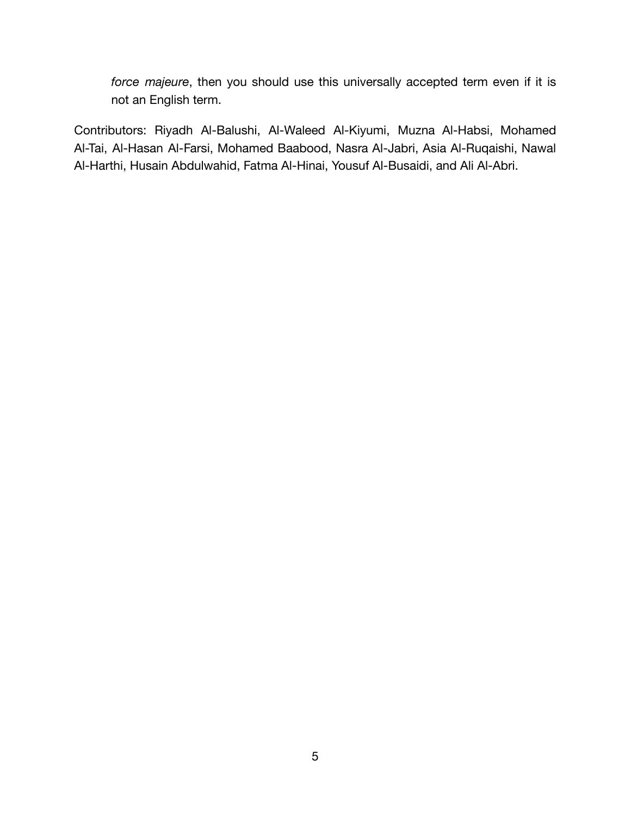*force majeure*, then you should use this universally accepted term even if it is not an English term.

Contributors: Riyadh Al-Balushi, Al-Waleed Al-Kiyumi, Muzna Al-Habsi, Mohamed Al-Tai, Al-Hasan Al-Farsi, Mohamed Baabood, Nasra Al-Jabri, Asia Al-Ruqaishi, Nawal Al-Harthi, Husain Abdulwahid, Fatma Al-Hinai, Yousuf Al-Busaidi, and Ali Al-Abri.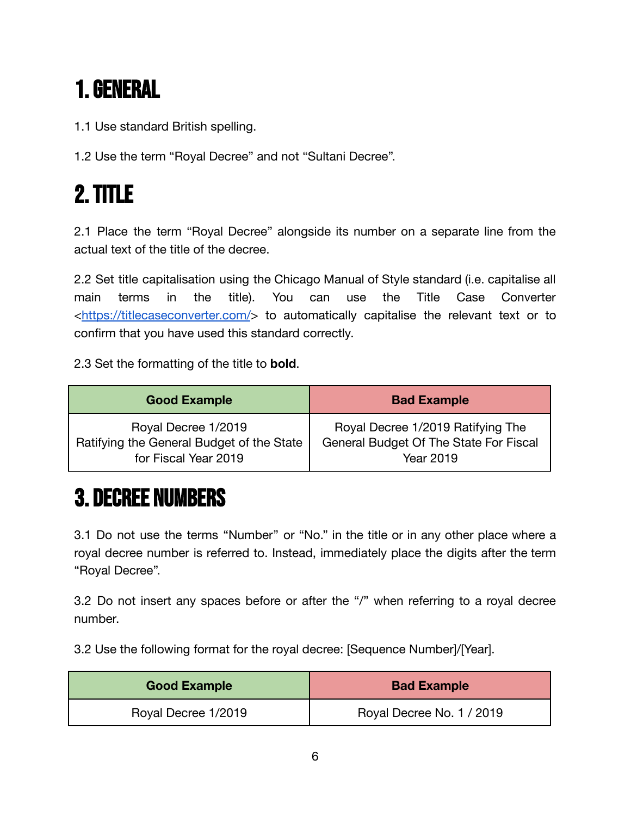# <span id="page-5-0"></span>1.GENERAL

1.1 Use standard British spelling.

1.2 Use the term "Royal Decree" and not "Sultani Decree".

# <span id="page-5-1"></span>2.TITLE

2.1 Place the term "Royal Decree" alongside its number on a separate line from the actual text of the title of the decree.

2.2 Set title capitalisation using the Chicago Manual of Style standard (i.e. capitalise all main terms in the title). You can use the Title Case Converter [<https://titlecaseconverter.com/](https://titlecaseconverter.com/)> to automatically capitalise the relevant text or to confirm that you have used this standard correctly.

2.3 Set the formatting of the title to **bold**.

| <b>Good Example</b>                       | <b>Bad Example</b>                     |
|-------------------------------------------|----------------------------------------|
| Royal Decree 1/2019                       | Royal Decree 1/2019 Ratifying The      |
| Ratifying the General Budget of the State | General Budget Of The State For Fiscal |
| for Fiscal Year 2019                      | Year 2019                              |

### <span id="page-5-2"></span>3. DECREE NUMBERS

3.1 Do not use the terms "Number" or "No." in the title or in any other place where a royal decree number is referred to. Instead, immediately place the digits after the term "Royal Decree".

3.2 Do not insert any spaces before or after the "/" when referring to a royal decree number.

3.2 Use the following format for the royal decree: [Sequence Number]/[Year].

| <b>Good Example</b> | <b>Bad Example</b>        |
|---------------------|---------------------------|
| Royal Decree 1/2019 | Royal Decree No. 1 / 2019 |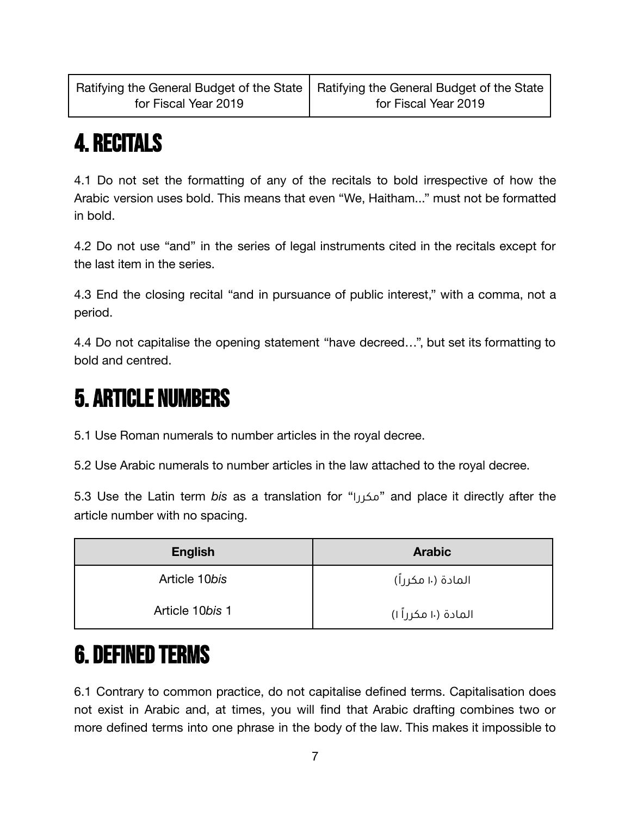# <span id="page-6-0"></span>4. RECITALS

4.1 Do not set the formatting of any of the recitals to bold irrespective of how the Arabic version uses bold. This means that even "We, Haitham..." must not be formatted in bold.

4.2 Do not use "and" in the series of legal instruments cited in the recitals except for the last item in the series.

4.3 End the closing recital "and in pursuance of public interest," with a comma, not a period.

4.4 Do not capitalise the opening statement "have decreed…", but set its formatting to bold and centred.

#### <span id="page-6-1"></span>5. ARTICLE NUMBERS

5.1 Use Roman numerals to number articles in the royal decree.

5.2 Use Arabic numerals to number articles in the law attached to the royal decree.

5.3 Use the Latin term *bis* as a translation for "مكررا "and place it directly after the article number with no spacing.

| <b>English</b>  | <b>Arabic</b>        |
|-----------------|----------------------|
| Article 10bis   | المادة (١٠ مكرراً)   |
| Article 10bis 1 | المادة (١٠ مكرراً ١) |

# <span id="page-6-2"></span>6. DEFINED TERMS

6.1 Contrary to common practice, do not capitalise defined terms. Capitalisation does not exist in Arabic and, at times, you will find that Arabic drafting combines two or more defined terms into one phrase in the body of the law. This makes it impossible to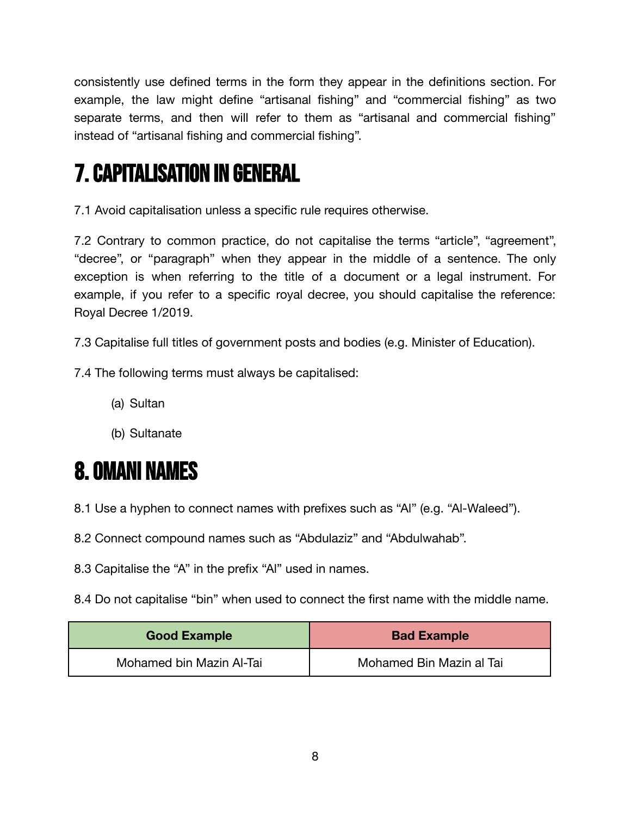consistently use defined terms in the form they appear in the definitions section. For example, the law might define "artisanal fishing" and "commercial fishing" as two separate terms, and then will refer to them as "artisanal and commercial fishing" instead of "artisanal fishing and commercial fishing".

# <span id="page-7-0"></span>7.CAPITALISATION IN GENERAL

7.1 Avoid capitalisation unless a specific rule requires otherwise.

7.2 Contrary to common practice, do not capitalise the terms "article", "agreement", "decree", or "paragraph" when they appear in the middle of a sentence. The only exception is when referring to the title of a document or a legal instrument. For example, if you refer to a specific royal decree, you should capitalise the reference: Royal Decree 1/2019.

7.3 Capitalise full titles of government posts and bodies (e.g. Minister of Education).

7.4 The following terms must always be capitalised:

- (a) Sultan
- (b) Sultanate

# <span id="page-7-1"></span>8. OMANI NAMES

- 8.1 Use a hyphen to connect names with prefixes such as "Al" (e.g. "Al-Waleed").
- 8.2 Connect compound names such as "Abdulaziz" and "Abdulwahab".
- 8.3 Capitalise the "A" in the prefix "Al" used in names.
- 8.4 Do not capitalise "bin" when used to connect the first name with the middle name.

| <b>Good Example</b>      | <b>Bad Example</b>       |
|--------------------------|--------------------------|
| Mohamed bin Mazin Al-Tai | Mohamed Bin Mazin al Tai |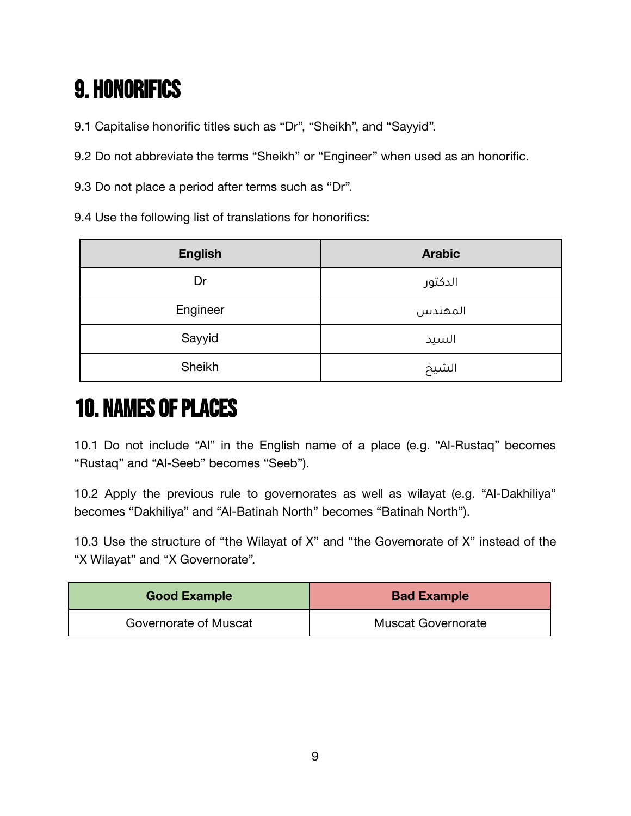# <span id="page-8-0"></span>9. HONORIFICS

9.1 Capitalise honorific titles such as "Dr", "Sheikh", and "Sayyid".

9.2 Do not abbreviate the terms "Sheikh" or "Engineer" when used as an honorific.

9.3 Do not place a period after terms such as "Dr".

9.4 Use the following list of translations for honorifics:

| <b>English</b> | <b>Arabic</b> |
|----------------|---------------|
| Dr             | الدكتور       |
| Engineer       | المهندس       |
| Sayyid         | السيد         |
| Sheikh         | الشيخ         |

# <span id="page-8-1"></span>**10. NAMES OF PLACES**

10.1 Do not include "Al" in the English name of a place (e.g. "Al-Rustaq" becomes "Rustaq" and "Al-Seeb" becomes "Seeb").

10.2 Apply the previous rule to governorates as well as wilayat (e.g. "Al-Dakhiliya" becomes "Dakhiliya" and "Al-Batinah North" becomes "Batinah North").

10.3 Use the structure of "the Wilayat of X" and "the Governorate of X" instead of the "X Wilayat" and "X Governorate".

| <b>Good Example</b>   | <b>Bad Example</b>        |
|-----------------------|---------------------------|
| Governorate of Muscat | <b>Muscat Governorate</b> |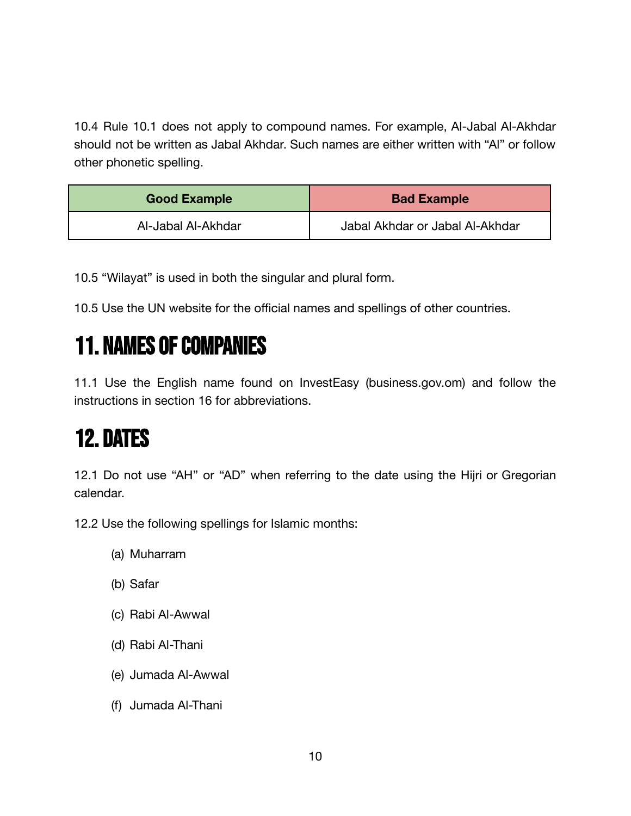10.4 Rule 10.1 does not apply to compound names. For example, Al-Jabal Al-Akhdar should not be written as Jabal Akhdar. Such names are either written with "Al" or follow other phonetic spelling.

| <b>Good Example</b> | <b>Bad Example</b>              |
|---------------------|---------------------------------|
| Al-Jabal Al-Akhdar  | Jabal Akhdar or Jabal Al-Akhdar |

10.5 "Wilayat" is used in both the singular and plural form.

10.5 Use the UN website for the official names and spellings of other countries.

### <span id="page-9-0"></span>**11. NAMES OF COMPANIES**

11.1 Use the English name found on InvestEasy (business.gov.om) and follow the instructions in section 16 for abbreviations.

### <span id="page-9-1"></span>12. DATES

12.1 Do not use "AH" or "AD" when referring to the date using the Hijri or Gregorian calendar.

12.2 Use the following spellings for Islamic months:

- (a) Muharram
- (b) Safar
- (c) Rabi Al-Awwal
- (d) Rabi Al-Thani
- (e) Jumada Al-Awwal
- (f) Jumada Al-Thani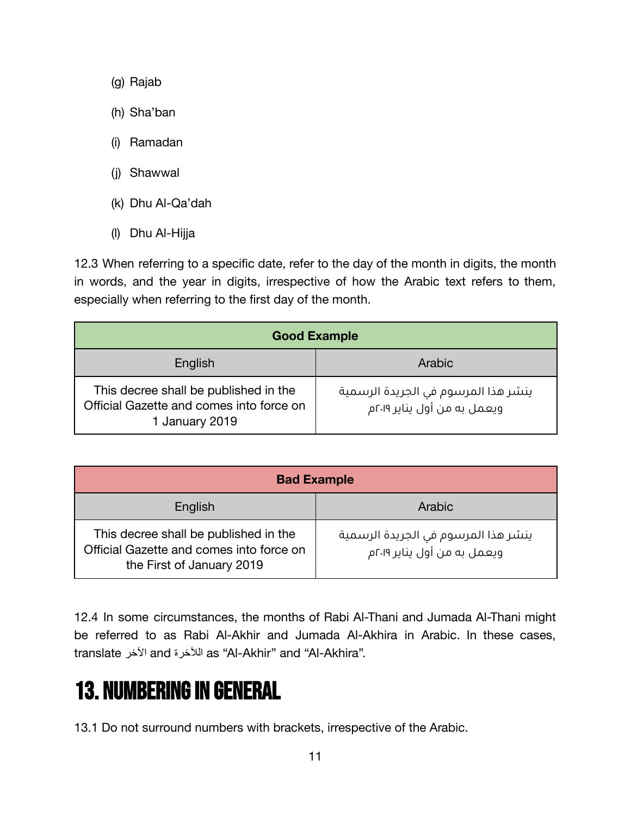- (g) Rajab
- (h) Sha'ban
- (i) Ramadan
- (j) Shawwal
- (k) Dhu Al-Qa'dah
- (l) Dhu Al-Hijja

12.3 When referring to a specific date, refer to the day of the month in digits, the month in words, and the year in digits, irrespective of how the Arabic text refers to them, especially when referring to the first day of the month.

| <b>Good Example</b>                                                                                 |                                                                    |
|-----------------------------------------------------------------------------------------------------|--------------------------------------------------------------------|
| English                                                                                             | Arabic                                                             |
| This decree shall be published in the<br>Official Gazette and comes into force on<br>1 January 2019 | ينشر هذا المرسوم في الجريدة الرسمية<br>ويعمل به من أول يناير ٢٠١٩م |

| <b>Bad Example</b>                                                                                             |                                                                    |
|----------------------------------------------------------------------------------------------------------------|--------------------------------------------------------------------|
| English                                                                                                        | Arabic                                                             |
| This decree shall be published in the<br>Official Gazette and comes into force on<br>the First of January 2019 | ينشر هذا المرسوم في الجريدة الرسمية<br>ويعمل به من أول يناير ٢٠١٩م |

12.4 In some circumstances, the months of Rabi Al-Thani and Jumada Al-Thani might be referred to as Rabi Al-Akhir and Jumada Al-Akhira in Arabic. In these cases, translate اآلخر and الآلخرة as "Al-Akhir" and "Al-Akhira".

#### <span id="page-10-0"></span>**13. NUMBERING IN GENERAL**

13.1 Do not surround numbers with brackets, irrespective of the Arabic.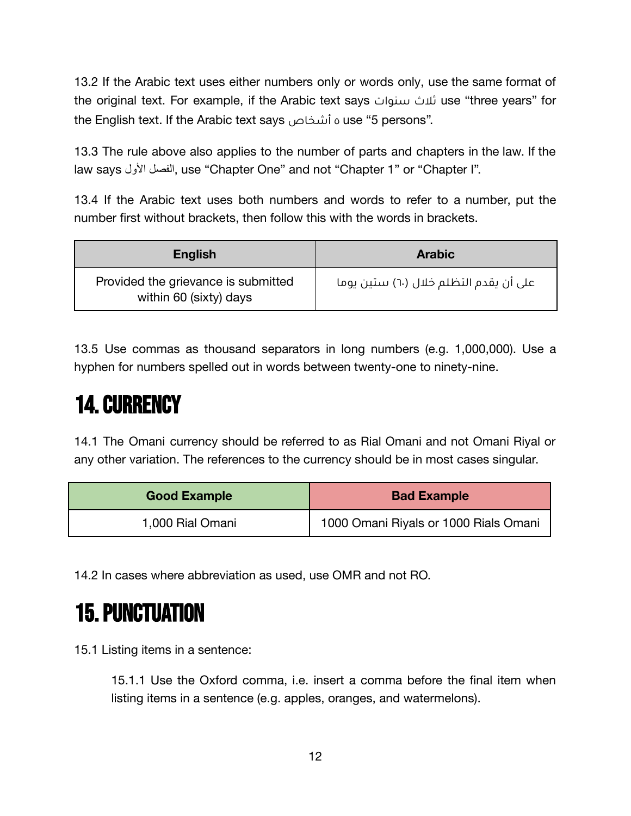13.2 If the Arabic text uses either numbers only or words only, use the same format of the original text. For example, if the Arabic text says سنوات ثالث use "three years" for the English text. If the Arabic text says أشخاص ٥ use "5 persons".

13.3 The rule above also applies to the number of parts and chapters in the law. If the law says األول الفصل, use "Chapter One" and not "Chapter 1" or "Chapter I".

13.4 If the Arabic text uses both numbers and words to refer to a number, put the number first without brackets, then follow this with the words in brackets.

| <b>English</b>                                                | <b>Arabic</b>                          |
|---------------------------------------------------------------|----------------------------------------|
| Provided the grievance is submitted<br>within 60 (sixty) days | على أن يقدم التظلم خلال (٦٠) ستين يوما |

13.5 Use commas as thousand separators in long numbers (e.g. 1,000,000). Use a hyphen for numbers spelled out in words between twenty-one to ninety-nine.

### <span id="page-11-0"></span>14.CURRENCY

14.1 The Omani currency should be referred to as Rial Omani and not Omani Riyal or any other variation. The references to the currency should be in most cases singular.

| <b>Good Example</b> | <b>Bad Example</b>                    |
|---------------------|---------------------------------------|
| 1,000 Rial Omani    | 1000 Omani Riyals or 1000 Rials Omani |

14.2 In cases where abbreviation as used, use OMR and not RO.

### <span id="page-11-1"></span>15.PUNCTUATION

15.1 Listing items in a sentence:

15.1.1 Use the Oxford comma, i.e. insert a comma before the final item when listing items in a sentence (e.g. apples, oranges, and watermelons).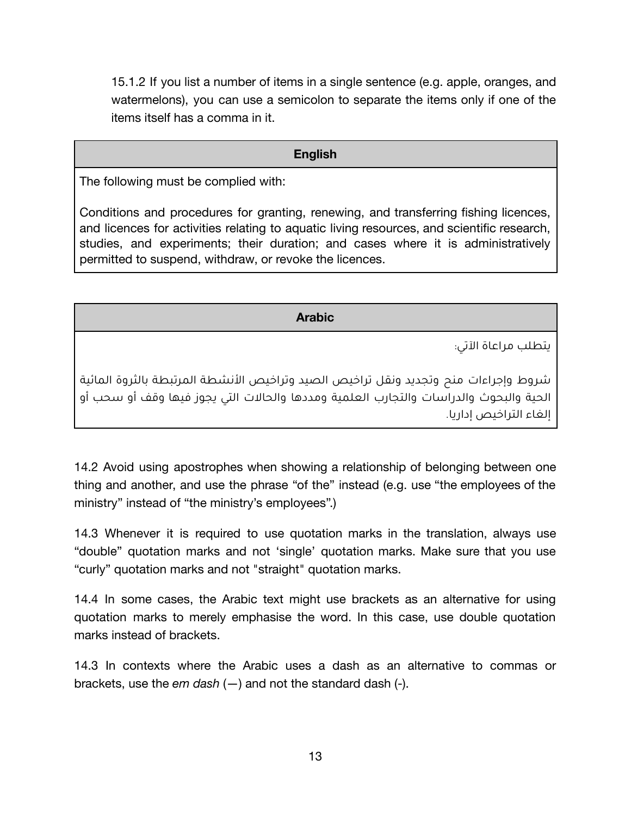15.1.2 If you list a number of items in a single sentence (e.g. apple, oranges, and watermelons), you can use a semicolon to separate the items only if one of the items itself has a comma in it.

#### **English**

The following must be complied with:

Conditions and procedures for granting, renewing, and transferring fishing licences, and licences for activities relating to aquatic living resources, and scientific research, studies, and experiments; their duration; and cases where it is administratively permitted to suspend, withdraw, or revoke the licences.

#### **Arabic**

يتطلب مراعاة اآلتي:

يشروط وإجراءات منح وتجديد ونقل تراخيص الصيد وتراخيص الأنشطة المرتبطة بالثروة المائية الحية والبحوث والدراسات والتجارب العلمية ومددها والحاالت التي يجوز فيها وقف أو سحب أو إلغاء التراخيص إداريا.

14.2 Avoid using apostrophes when showing a relationship of belonging between one thing and another, and use the phrase "of the" instead (e.g. use "the employees of the ministry" instead of "the ministry's employees".)

14.3 Whenever it is required to use quotation marks in the translation, always use "double" quotation marks and not 'single' quotation marks. Make sure that you use "curly" quotation marks and not "straight" quotation marks.

14.4 In some cases, the Arabic text might use brackets as an alternative for using quotation marks to merely emphasise the word. In this case, use double quotation marks instead of brackets.

14.3 In contexts where the Arabic uses a dash as an alternative to commas or brackets, use the *em dash* (—) and not the standard dash (-).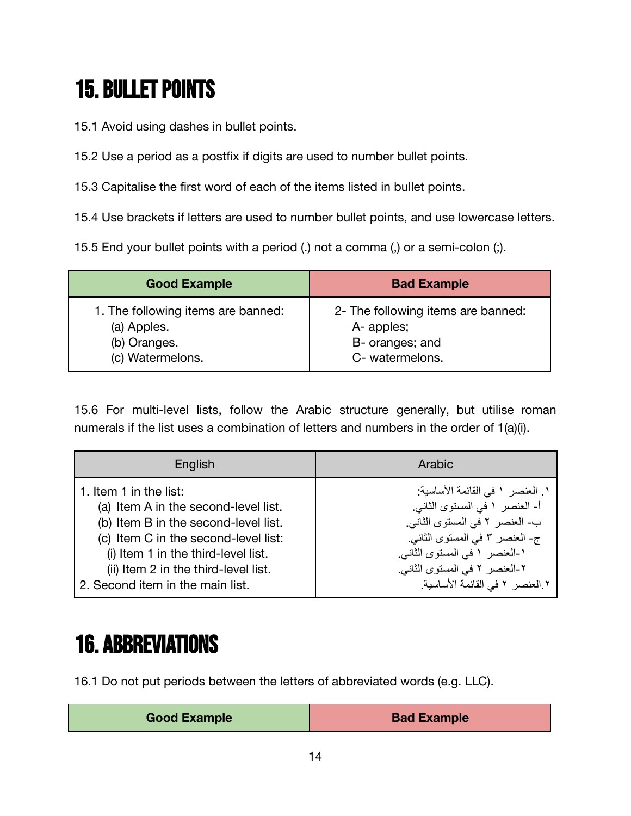# <span id="page-13-0"></span>**15. BULLET POINTS**

15.1 Avoid using dashes in bullet points.

15.2 Use a period as a postfix if digits are used to number bullet points.

15.3 Capitalise the first word of each of the items listed in bullet points.

15.4 Use brackets if letters are used to number bullet points, and use lowercase letters.

15.5 End your bullet points with a period (.) not a comma (,) or a semi-colon (;).

| <b>Good Example</b>                | <b>Bad Example</b>                 |
|------------------------------------|------------------------------------|
| 1. The following items are banned: | 2- The following items are banned: |
| (a) Apples.                        | A- apples;                         |
| (b) Oranges.                       | B- oranges; and                    |
| (c) Watermelons.                   | C- watermelons.                    |

15.6 For multi-level lists, follow the Arabic structure generally, but utilise roman numerals if the list uses a combination of letters and numbers in the order of 1(a)(i).

| English                              | Arabic                           |
|--------------------------------------|----------------------------------|
| 1. Item 1 in the list:               | ١. العنصر ١ في القائمة الأساسية: |
| (a) Item A in the second-level list. | أ- العنصر ١ في المستوى الثاني.   |
| (b) Item B in the second-level list. | ب- العنصر ٢ في المستوى الثاني.   |
| (c) Item C in the second-level list: | ج- العنصر ٣ في المستوى الثاني.   |
| (i) Item 1 in the third-level list.  | ١-العنصر ١ في المستوى الثاني.    |
| (ii) Item 2 in the third-level list. | ٢-العنصر ٢ في المستوى الثاني.    |
| 2. Second item in the main list.     | ٢ العنصر ٢ في القائمة الأساسية.  |

# <span id="page-13-1"></span>16. ABBREVIATIONS

16.1 Do not put periods between the letters of abbreviated words (e.g. LLC).

| <b>Good Example</b> | <b>Bad Example</b> |
|---------------------|--------------------|
|                     |                    |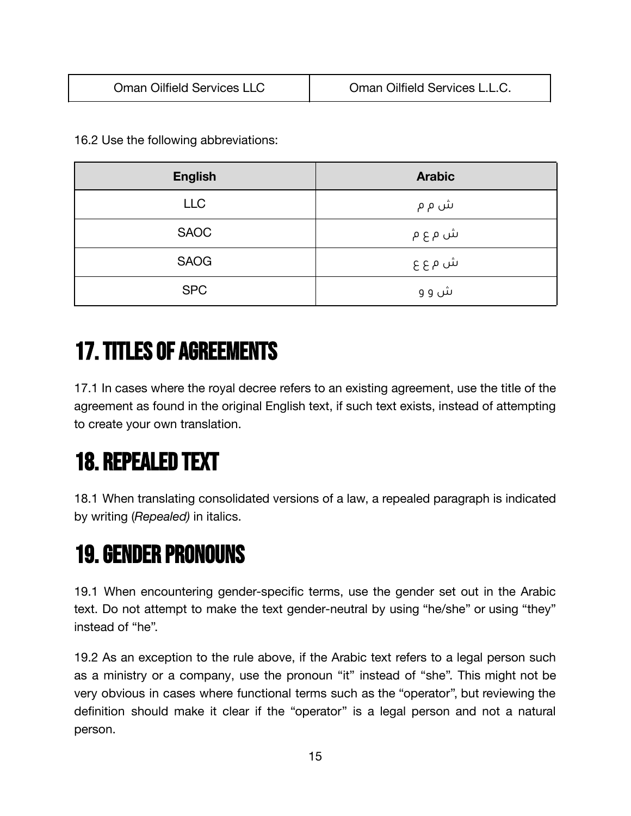16.2 Use the following abbreviations:

| <b>English</b> | <b>Arabic</b> |
|----------------|---------------|
| <b>LLC</b>     | ش م م         |
| <b>SAOC</b>    | ش م ع م       |
| <b>SAOG</b>    | ش م ع ع       |
| <b>SPC</b>     | ش و و         |

### <span id="page-14-0"></span>17.TITLES OF AGREEMENTS

17.1 In cases where the royal decree refers to an existing agreement, use the title of the agreement as found in the original English text, if such text exists, instead of attempting to create your own translation.

# <span id="page-14-1"></span>18. REPEALED TEXT

18.1 When translating consolidated versions of a law, a repealed paragraph is indicated by writing (*Repealed)* in italics.

### <span id="page-14-2"></span>19.GENDER PRONOUNS

19.1 When encountering gender-specific terms, use the gender set out in the Arabic text. Do not attempt to make the text gender-neutral by using "he/she" or using "they" instead of "he".

19.2 As an exception to the rule above, if the Arabic text refers to a legal person such as a ministry or a company, use the pronoun "it" instead of "she". This might not be very obvious in cases where functional terms such as the "operator", but reviewing the definition should make it clear if the "operator" is a legal person and not a natural person.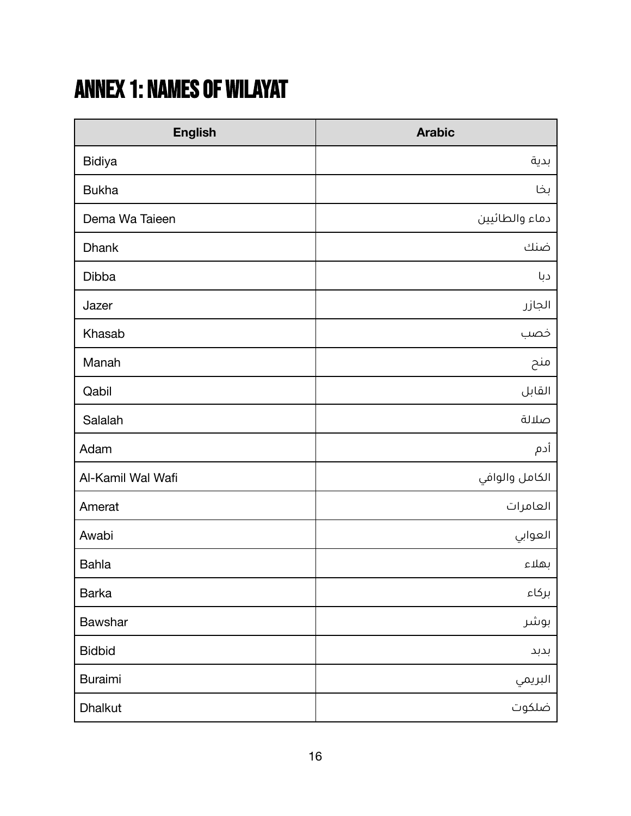# <span id="page-15-0"></span>ANNEX 1: NAMES OF WILAYAT

| <b>English</b>    | <b>Arabic</b>  |
|-------------------|----------------|
| <b>Bidiya</b>     | بدية           |
| <b>Bukha</b>      | بخا            |
| Dema Wa Taieen    | دماء والطائيين |
| <b>Dhank</b>      | ضنك            |
| <b>Dibba</b>      | دبا            |
| Jazer             | الجازر         |
| Khasab            | خصب            |
| Manah             | منح            |
| Qabil             | القابل         |
| Salalah           | صلالة          |
| Adam              | أدم            |
| Al-Kamil Wal Wafi | الكامل والوافي |
| Amerat            | العامرات       |
| Awabi             | العوابي        |
| <b>Bahla</b>      | بهلاء          |
| <b>Barka</b>      | بركاء          |
| Bawshar           | بوشر           |
| <b>Bidbid</b>     | بدبد           |
| <b>Buraimi</b>    |                |
| Dhalkut           |                |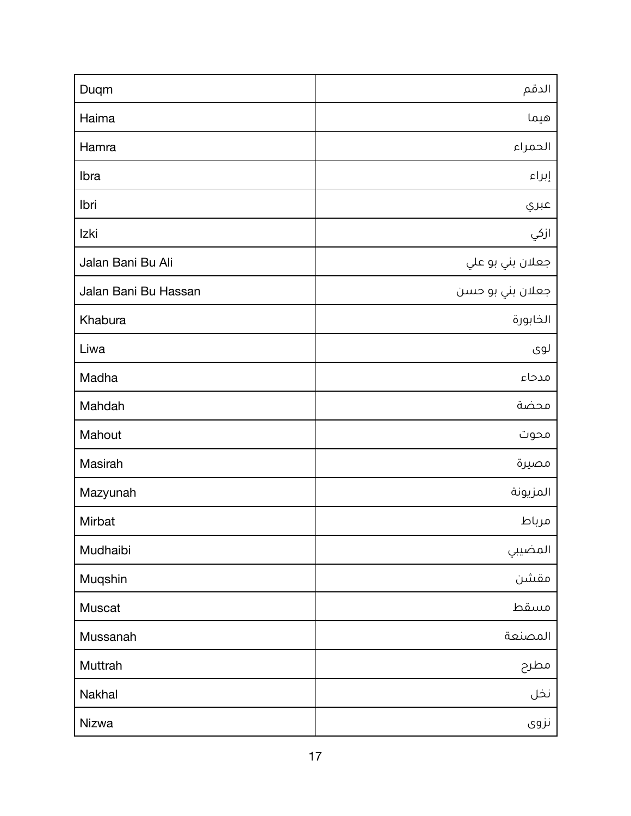| Duqm                 | الدقم            |
|----------------------|------------------|
| Haima                | هيما             |
| Hamra                | الحمراء          |
| Ibra                 | إبراء            |
| Ibri                 | عبري             |
| Izki                 | ازکي             |
| Jalan Bani Bu Ali    | جعلان بني بو علي |
| Jalan Bani Bu Hassan | جعلان بني بو حسن |
| Khabura              | الخابورة         |
| Liwa                 | لوی              |
| Madha                | مدحاء            |
| Mahdah               | محضة             |
| Mahout               | محوت             |
| Masirah              | مصيرة            |
| Mazyunah             | المزيونة         |
| Mirbat               | مرباط            |
| Mudhaibi             | المضيبي          |
| Muqshin              | مقشن             |
| Muscat               | مسقط             |
| Mussanah             | المصنعة          |
| Muttrah              | مطرح             |
| Nakhal               | نخل              |
| Nizwa                | نزوی             |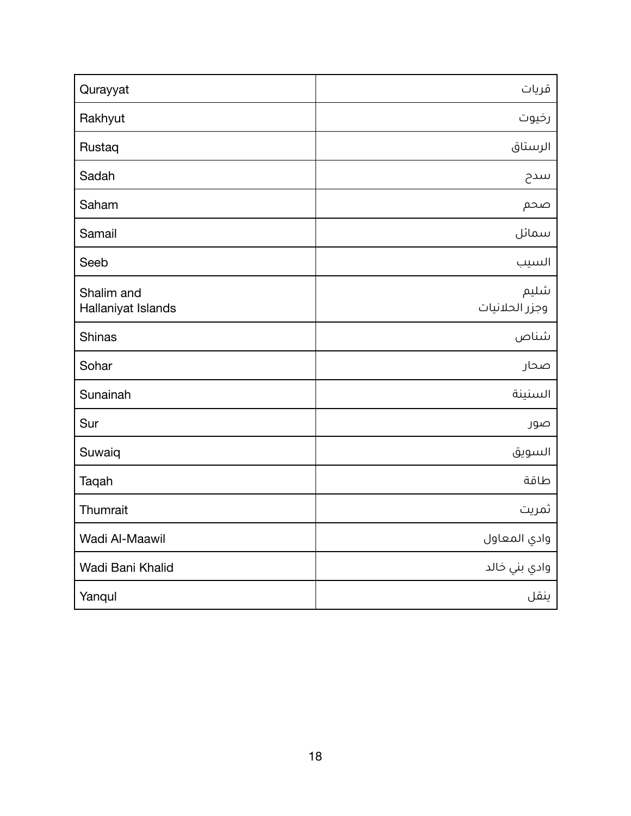| Qurayyat                         | قریات                  |
|----------------------------------|------------------------|
| Rakhyut                          | رخيوت                  |
| Rustaq                           | الرستاق                |
| Sadah                            | سدح                    |
| Saham                            | صحم                    |
| Samail                           | سمائل                  |
| Seeb                             | السيب                  |
| Shalim and<br>Hallaniyat Islands | شليم<br>وجزر الحلانيات |
| <b>Shinas</b>                    | شناص                   |
| Sohar                            | صحار                   |
| Sunainah                         | السنينة                |
| Sur                              | صور                    |
| Suwaiq                           | السويق                 |
| Taqah                            | طاقة                   |
| Thumrait                         | ثمريت                  |
| Wadi Al-Maawil                   | وادي المعاول           |
| Wadi Bani Khalid                 | وادي بني خالد          |
| Yanqul                           | ينقل                   |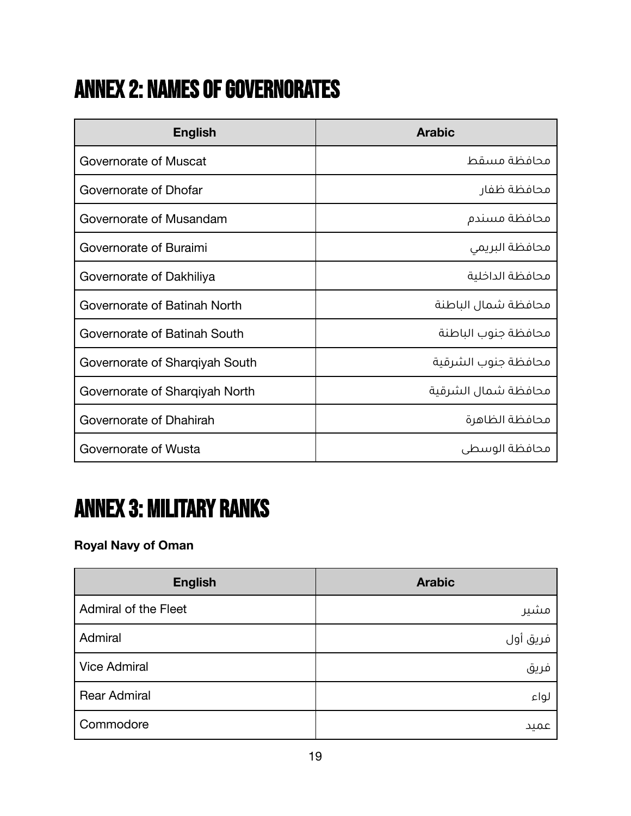# <span id="page-18-0"></span>**ANNEX 2: NAMES OF GOVERNORATES**

| <b>English</b>                 | <b>Arabic</b>       |
|--------------------------------|---------------------|
| Governorate of Muscat          | محافظة مسقط         |
| Governorate of Dhofar          | محافظة ظفار         |
| Governorate of Musandam        | محافظة مسندم        |
| Governorate of Buraimi         | محافظة البريمى      |
| Governorate of Dakhiliya       | محافظة الداخلية     |
| Governorate of Batinah North   | محافظة شمال الباطنة |
| Governorate of Batinah South   | محافظة جنوب الباطنة |
| Governorate of Sharqiyah South | محافظة جنوب الشرقية |
| Governorate of Sharqiyah North | محافظة شمال الشرقية |
| Governorate of Dhahirah        | محافظة الظاهرة      |
| Governorate of Wusta           | محافظة الوسطى       |

# <span id="page-18-1"></span>ANNEX 3: MILITARY RANKS

#### **Royal Navy of Oman**

| <b>English</b>       | <b>Arabic</b> |
|----------------------|---------------|
| Admiral of the Fleet | مشير          |
| Admiral              | فريق أول      |
| <b>Vice Admiral</b>  | فريق          |
| <b>Rear Admiral</b>  | لواء          |
| Commodore            | عميد          |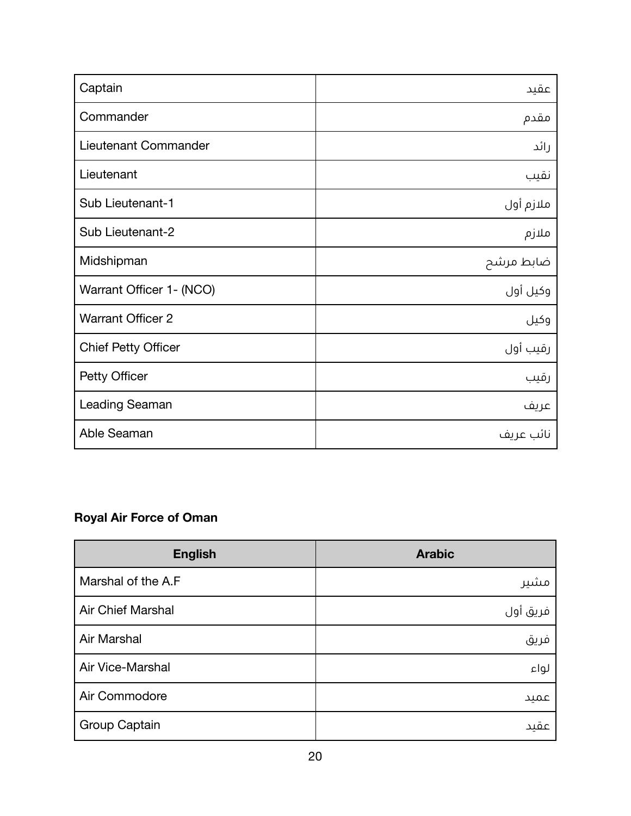| Captain                    | عقيد      |
|----------------------------|-----------|
| Commander                  | مقدم      |
| Lieutenant Commander       | رائد      |
| Lieutenant                 | نقيب      |
| Sub Lieutenant-1           | ملازم أول |
| Sub Lieutenant-2           | ملازم     |
| Midshipman                 | ضابط مرشح |
| Warrant Officer 1- (NCO)   | وكيل أول  |
| <b>Warrant Officer 2</b>   | وكيل      |
| <b>Chief Petty Officer</b> | رقيب أول  |
| Petty Officer              | رقيب      |
| <b>Leading Seaman</b>      | عريف      |
| Able Seaman                | نائب عريف |

#### **Royal Air Force of Oman**

| <b>English</b>           | <b>Arabic</b> |
|--------------------------|---------------|
| Marshal of the A.F       | مشير          |
| <b>Air Chief Marshal</b> | فريق أول      |
| Air Marshal              | فريق          |
| Air Vice-Marshal         | لواء          |
| Air Commodore            | عميد          |
| Group Captain            | عقید          |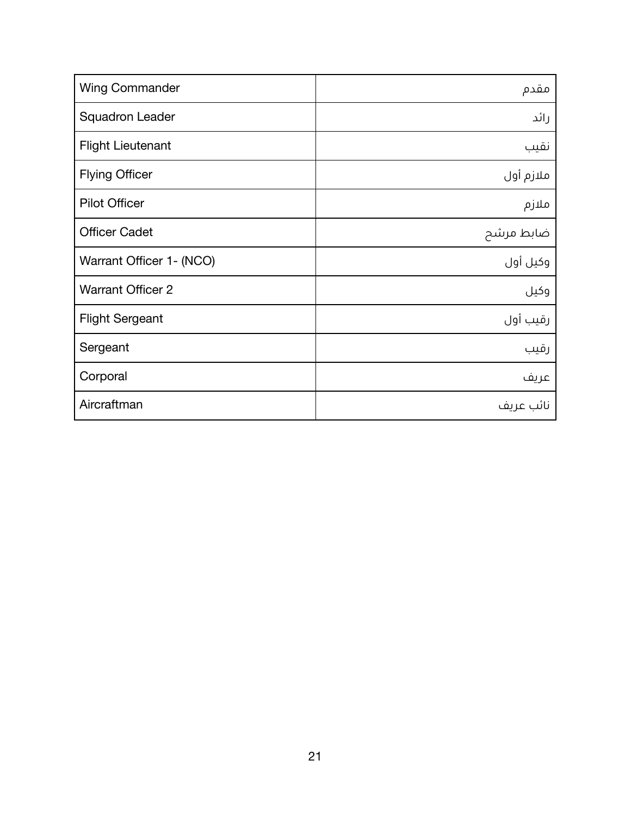| <b>Wing Commander</b>    | مقدم      |
|--------------------------|-----------|
| <b>Squadron Leader</b>   | رائد      |
| <b>Flight Lieutenant</b> | نقيب      |
| <b>Flying Officer</b>    | ملازم أول |
| <b>Pilot Officer</b>     | ملازم     |
| <b>Officer Cadet</b>     | ضابط مرشح |
| Warrant Officer 1- (NCO) | وكيل أول  |
| <b>Warrant Officer 2</b> | وكيل      |
| <b>Flight Sergeant</b>   | رقيب أول  |
| Sergeant                 | رقيب      |
| Corporal                 | عريف      |
| Aircraftman              | نائب عريف |